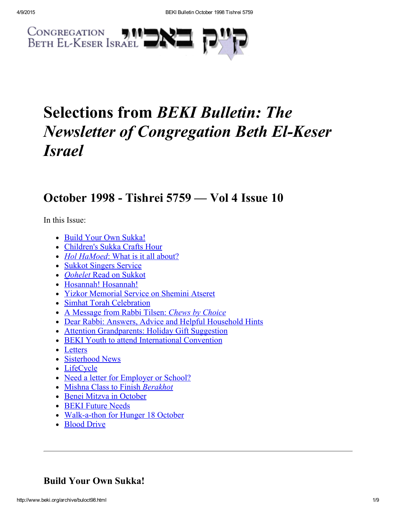

# Selections from BEKI Bulletin: The Newsletter of Congregation Beth El-Keser Israel

## October 1998 - Tishrei 5759 — Vol 4 Issue 10

In this Issue:

- Build Your Own Sukka!
- Children's Sukka Crafts Hour
- Hol HaMoed: What is it all about?
- Sukkot Singers Service
- Oohelet Read on Sukkot
- Hosannah! Hosannah!
- Yizkor [Memorial](#page-3-2) Service on Shemini Atseret
- Simhat Torah [Celebration](#page-3-1)
- A [Message](#page-3-0) from Rabbi Tilsen: Chews by Choice
- Dear Rabbi: Answers, Advice and Helpful [Household](#page-4-0) Hints
- Attention [Grandparents:](#page-5-1) Holiday Gift Suggestion
- BEKI Youth to attend [International](#page-5-0) Convention
- [Letters](#page-6-0)
- Sisterhood News
- [LifeCycle](#page-6-3)
- Need a letter for [Employer](#page-6-2) or School?
- Mishna Class to Finish [Berakhot](#page-6-5)
- Benei Mitzva in [October](#page-6-1)
- BEKI [Future](#page-6-4) Needs
- Walk-a-thon for Hunger 18 October
- [Blood](#page-7-0) Drive

## Build Your Own Sukka!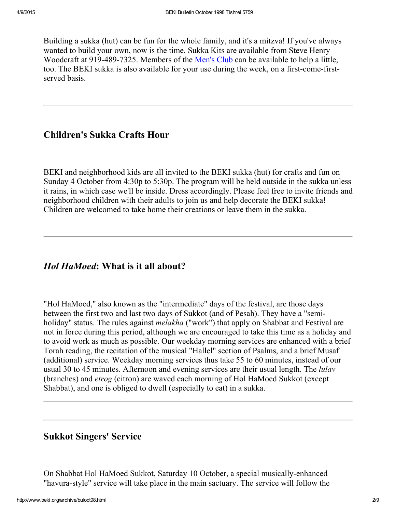Building a sukka (hut) can be fun for the whole family, and it's a mitzva! If you've always wanted to build your own, now is the time. Sukka Kits are available from Steve Henry Woodcraft at 919-489-7325. Members of the [Men's](http://www.beki.org/archive/mensclub.html) Club can be available to help a little, too. The BEKI sukka is also available for your use during the week, on a first-come-firstserved basis.

## Children's Sukka Crafts Hour

BEKI and neighborhood kids are all invited to the BEKI sukka (hut) for crafts and fun on Sunday 4 October from 4:30p to 5:30p. The program will be held outside in the sukka unless it rains, in which case we'll be inside. Dress accordingly. Please feel free to invite friends and neighborhood children with their adults to join us and help decorate the BEKI sukka! Children are welcomed to take home their creations or leave them in the sukka.

## Hol HaMoed: What is it all about?

"Hol HaMoed," also known as the "intermediate" days of the festival, are those days between the first two and last two days of Sukkot (and of Pesah). They have a "semiholiday" status. The rules against *melakha* ("work") that apply on Shabbat and Festival are not in force during this period, although we are encouraged to take this time as a holiday and to avoid work as much as possible. Our weekday morning services are enhanced with a brief Torah reading, the recitation of the musical "Hallel" section of Psalms, and a brief Musaf (additional) service. Weekday morning services thus take 55 to 60 minutes, instead of our usual 30 to 45 minutes. Afternoon and evening services are their usual length. The *lulav* (branches) and etrog (citron) are waved each morning of Hol HaMoed Sukkot (except Shabbat), and one is obliged to dwell (especially to eat) in a sukka.

## Sukkot Singers' Service

On Shabbat Hol HaMoed Sukkot, Saturday 10 October, a special musically-enhanced "havura-style" service will take place in the main sactuary. The service will follow the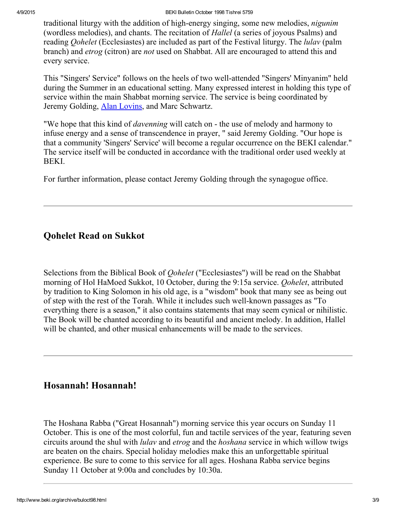traditional liturgy with the addition of high-energy singing, some new melodies, *nigunim* (wordless melodies), and chants. The recitation of Hallel (a series of joyous Psalms) and reading *Oohelet* (Ecclesiastes) are included as part of the Festival liturgy. The *lulav* (palm branch) and *etrog* (citron) are *not* used on Shabbat. All are encouraged to attend this and every service.

This "Singers' Service" follows on the heels of two well-attended "Singers' Minyanim" held during the Summer in an educational setting. Many expressed interest in holding this type of service within the main Shabbat morning service. The service is being coordinated by Jeremy Golding, Alan [Lovins,](mailto:alovins@ix.netcom.com) and Marc Schwartz.

"We hope that this kind of *davenning* will catch on - the use of melody and harmony to infuse energy and a sense of transcendence in prayer, " said Jeremy Golding. "Our hope is that a community 'Singers' Service' will become a regular occurrence on the BEKI calendar." The service itself will be conducted in accordance with the traditional order used weekly at BEKI.

For further information, please contact Jeremy Golding through the synagogue office.

## Qohelet Read on Sukkot

Selections from the Biblical Book of *Oohelet* ("Ecclesiastes") will be read on the Shabbat morning of Hol HaMoed Sukkot, 10 October, during the 9:15a service. *Oohelet*, attributed by tradition to King Solomon in his old age, is a "wisdom" book that many see as being out of step with the rest of the Torah. While it includes such well-known passages as "To everything there is a season," it also contains statements that may seem cynical or nihilistic. The Book will be chanted according to its beautiful and ancient melody. In addition, Hallel will be chanted, and other musical enhancements will be made to the services.

## Hosannah! Hosannah!

The Hoshana Rabba ("Great Hosannah") morning service this year occurs on Sunday 11 October. This is one of the most colorful, fun and tactile services of the year, featuring seven circuits around the shul with lulav and etrog and the hoshana service in which willow twigs are beaten on the chairs. Special holiday melodies make this an unforgettable spiritual experience. Be sure to come to this service for all ages. Hoshana Rabba service begins Sunday 11 October at 9:00a and concludes by 10:30a.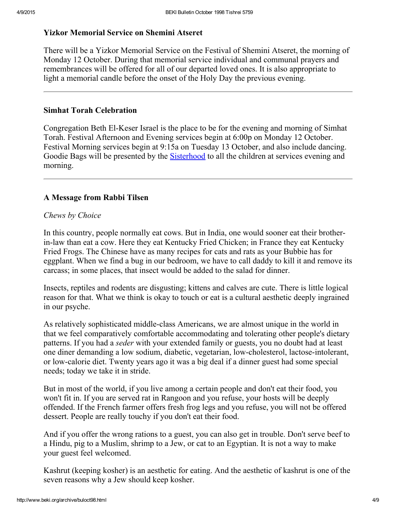### <span id="page-3-2"></span>Yizkor Memorial Service on Shemini Atseret

There will be a Yizkor Memorial Service on the Festival of Shemini Atseret, the morning of Monday 12 October. During that memorial service individual and communal prayers and remembrances will be offered for all of our departed loved ones. It is also appropriate to light a memorial candle before the onset of the Holy Day the previous evening.

#### <span id="page-3-1"></span>Simhat Torah Celebration

Congregation Beth El-Keser Israel is the place to be for the evening and morning of Simhat Torah. Festival Afternoon and Evening services begin at 6:00p on Monday 12 October. Festival Morning services begin at 9:15a on Tuesday 13 October, and also include dancing. Goodie Bags will be presented by the **[Sisterhood](http://www.beki.org/archive/sisterhood.html)** to all the children at services evening and morning.

## <span id="page-3-0"></span>A Message from Rabbi Tilsen

#### Chews by Choice

In this country, people normally eat cows. But in India, one would sooner eat their brotherin-law than eat a cow. Here they eat Kentucky Fried Chicken; in France they eat Kentucky Fried Frogs. The Chinese have as many recipes for cats and rats as your Bubbie has for eggplant. When we find a bug in our bedroom, we have to call daddy to kill it and remove its carcass; in some places, that insect would be added to the salad for dinner.

Insects, reptiles and rodents are disgusting; kittens and calves are cute. There is little logical reason for that. What we think is okay to touch or eat is a cultural aesthetic deeply ingrained in our psyche.

As relatively sophisticated middle-class Americans, we are almost unique in the world in that we feel comparatively comfortable accommodating and tolerating other people's dietary patterns. If you had a *seder* with your extended family or guests, you no doubt had at least one diner demanding a low sodium, diabetic, vegetarian, low-cholesterol, lactose-intolerant, or low-calorie diet. Twenty years ago it was a big deal if a dinner guest had some special needs; today we take it in stride.

But in most of the world, if you live among a certain people and don't eat their food, you won't fit in. If you are served rat in Rangoon and you refuse, your hosts will be deeply offended. If the French farmer offers fresh frog legs and you refuse, you will not be offered dessert. People are really touchy if you don't eat their food.

And if you offer the wrong rations to a guest, you can also get in trouble. Don't serve beef to a Hindu, pig to a Muslim, shrimp to a Jew, or cat to an Egyptian. It is not a way to make your guest feel welcomed.

Kashrut (keeping kosher) is an aesthetic for eating. And the aesthetic of kashrut is one of the seven reasons why a Jew should keep kosher.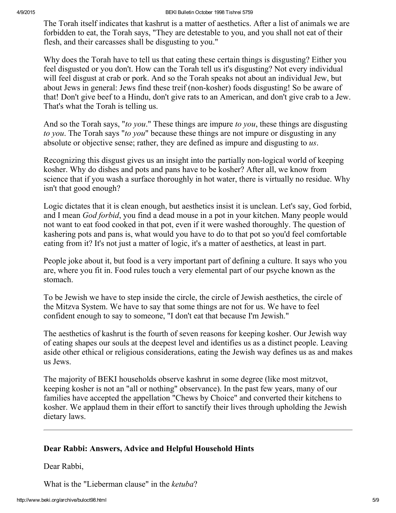The Torah itself indicates that kashrut is a matter of aesthetics. After a list of animals we are forbidden to eat, the Torah says, "They are detestable to you, and you shall not eat of their flesh, and their carcasses shall be disgusting to you."

Why does the Torah have to tell us that eating these certain things is disgusting? Either you feel disgusted or you don't. How can the Torah tell us it's disgusting? Not every individual will feel disgust at crab or pork. And so the Torah speaks not about an individual Jew, but about Jews in general: Jews find these treif (non-kosher) foods disgusting! So be aware of that! Don't give beef to a Hindu, don't give rats to an American, and don't give crab to a Jew. That's what the Torah is telling us.

And so the Torah says, "to you." These things are impure to you, these things are disgusting to you. The Torah says "to you" because these things are not impure or disgusting in any absolute or objective sense; rather, they are defined as impure and disgusting to us.

Recognizing this disgust gives us an insight into the partially non-logical world of keeping kosher. Why do dishes and pots and pans have to be kosher? After all, we know from science that if you wash a surface thoroughly in hot water, there is virtually no residue. Why isn't that good enough?

Logic dictates that it is clean enough, but aesthetics insist it is unclean. Let's say, God forbid, and I mean God forbid, you find a dead mouse in a pot in your kitchen. Many people would not want to eat food cooked in that pot, even if it were washed thoroughly. The question of kashering pots and pans is, what would you have to do to that pot so you'd feel comfortable eating from it? It's not just a matter of logic, it's a matter of aesthetics, at least in part.

People joke about it, but food is a very important part of defining a culture. It says who you are, where you fit in. Food rules touch a very elemental part of our psyche known as the stomach.

To be Jewish we have to step inside the circle, the circle of Jewish aesthetics, the circle of the Mitzva System. We have to say that some things are not for us. We have to feel confident enough to say to someone, "I don't eat that because I'm Jewish."

The aesthetics of kashrut is the fourth of seven reasons for keeping kosher. Our Jewish way of eating shapes our souls at the deepest level and identifies us as a distinct people. Leaving aside other ethical or religious considerations, eating the Jewish way defines us as and makes us Jews.

The majority of BEKI households observe kashrut in some degree (like most mitzvot, keeping kosher is not an "all or nothing" observance). In the past few years, many of our families have accepted the appellation "Chews by Choice" and converted their kitchens to kosher. We applaud them in their effort to sanctify their lives through upholding the Jewish dietary laws.

## <span id="page-4-0"></span>Dear Rabbi: Answers, Advice and Helpful Household Hints

Dear Rabbi,

What is the "Lieberman clause" in the ketuba?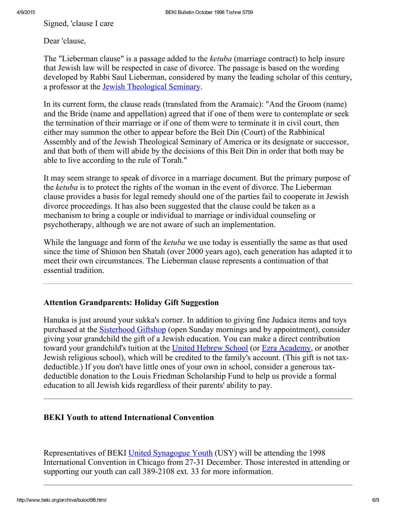Signed, 'clause I care

Dear 'clause,

The "Lieberman clause" is a passage added to the *ketuba* (marriage contract) to help insure that Jewish law will be respected in case of divorce. The passage is based on the wording developed by Rabbi Saul Lieberman, considered by many the leading scholar of this century, a professor at the Jewish [Theological](http://www.jtsa.edu/) Seminary.

In its current form, the clause reads (translated from the Aramaic): "And the Groom (name) and the Bride (name and appellation) agreed that if one of them were to contemplate or seek the termination of their marriage or if one of them were to terminate it in civil court, then either may summon the other to appear before the Beit Din (Court) of the Rabbinical Assembly and of the Jewish Theological Seminary of America or its designate or successor, and that both of them will abide by the decisions of this Beit Din in order that both may be able to live according to the rule of Torah."

It may seem strange to speak of divorce in a marriage document. But the primary purpose of the ketuba is to protect the rights of the woman in the event of divorce. The Lieberman clause provides a basis for legal remedy should one of the parties fail to cooperate in Jewish divorce proceedings. It has also been suggested that the clause could be taken as a mechanism to bring a couple or individual to marriage or individual counseling or psychotherapy, although we are not aware of such an implementation.

While the language and form of the *ketuba* we use today is essentially the same as that used since the time of Shimon ben Shatah (over 2000 years ago), each generation has adapted it to meet their own circumstances. The Lieberman clause represents a continuation of that essential tradition.

## <span id="page-5-1"></span>Attention Grandparents: Holiday Gift Suggestion

Hanuka is just around your sukka's corner. In addition to giving fine Judaica items and toys purchased at the [Sisterhood](http://www.beki.org/archive/sisterhood.html#giftshop) Giftshop (open Sunday mornings and by appointment), consider giving your grandchild the gift of a Jewish education. You can make a direct contribution toward your grandchild's tuition at the United [Hebrew](http://www.beki.org/archive/youth.html#UHS) School (or Ezra [Academy,](http://www.uscj.org/ssds/ezra) or another Jewish religious school), which will be credited to the family's account. (This gift is not taxdeductible.) If you don't have little ones of your own in school, consider a generous taxdeductible donation to the Louis Friedman Scholarship Fund to help us provide a formal education to all Jewish kids regardless of their parents' ability to pay.

## <span id="page-5-0"></span>BEKI Youth to attend International Convention

Representatives of BEKI United [Synagogue](http://www.beki.org/archive/youth.html#kadmiausy) Youth (USY) will be attending the 1998 International Convention in Chicago from 27-31 December. Those interested in attending or supporting our youth can call 389-2108 ext. 33 for more information.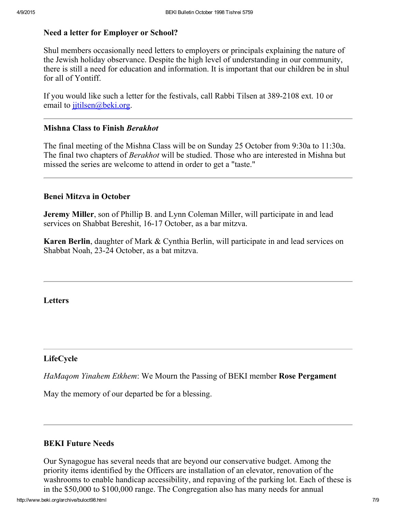#### <span id="page-6-2"></span>Need a letter for Employer or School?

Shul members occasionally need letters to employers or principals explaining the nature of the Jewish holiday observance. Despite the high level of understanding in our community, there is still a need for education and information. It is important that our children be in shul for all of Yontiff.

If you would like such a letter for the festivals, call Rabbi Tilsen at 389-2108 ext. 10 or email to jitilsen@beki.org.

#### <span id="page-6-5"></span>Mishna Class to Finish Berakhot

The final meeting of the Mishna Class will be on Sunday 25 October from 9:30a to 11:30a. The final two chapters of Berakhot will be studied. Those who are interested in Mishna but missed the series are welcome to attend in order to get a "taste."

## <span id="page-6-1"></span>Benei Mitzva in October

Jeremy Miller, son of Phillip B. and Lynn Coleman Miller, will participate in and lead services on Shabbat Bereshit, 16-17 October, as a bar mitzva.

Karen Berlin, daughter of Mark & Cynthia Berlin, will participate in and lead services on Shabbat Noah, 23-24 October, as a bat mitzva.

<span id="page-6-0"></span>**Letters** 

## <span id="page-6-3"></span>LifeCycle

HaMagom Yinahem Etkhem: We Mourn the Passing of BEKI member Rose Pergament

May the memory of our departed be for a blessing.

#### <span id="page-6-4"></span>BEKI Future Needs

Our Synagogue has several needs that are beyond our conservative budget. Among the priority items identified by the Officers are installation of an elevator, renovation of the washrooms to enable handicap accessibility, and repaving of the parking lot. Each of these is in the \$50,000 to \$100,000 range. The Congregation also has many needs for annual